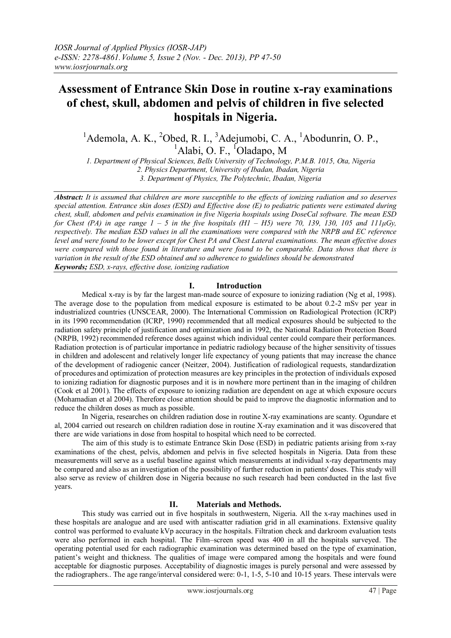# **Assessment of Entrance Skin Dose in routine x-ray examinations of chest, skull, abdomen and pelvis of children in five selected hospitals in Nigeria.**

 $1$ Ademola, A. K.,  $2$ Obed, R. I.,  $3$ Adejumobi, C. A.,  $1$ Abodunrin, O. P., <sup>1</sup>Alabi, O. F., <sup>1</sup>Oladapo, M

*1. Department of Physical Sciences, Bells University of Technology, P.M.B. 1015, Ota, Nigeria 2. Physics Department, University of Ibadan, Ibadan, Nigeria 3. Department of Physics, The Polytechnic, Ibadan, Nigeria*

*Abstract: It is assumed that children are more susceptible to the effects of ionizing radiation and so deserves special attention. Entrance skin doses (ESD) and Effective dose (E) to pediatric patients were estimated during chest, skull, abdomen and pelvis examination in five Nigeria hospitals using DoseCal software. The mean ESD for Chest (PA) in age range*  $1 - 5$  *in the five hospitals*  $(H1 - H5)$  *were 70, 139, 130, 105 and 111* $\mu$ *Gy, respectively. The median ESD values in all the examinations were compared with the NRPB and EC reference level and were found to be lower except for Chest PA and Chest Lateral examinations. The mean effective doses were compared with those found in literature and were found to be comparable. Data shows that there is variation in the result of the ESD obtained and so adherence to guidelines should be demonstrated Keywords; ESD, x-rays, effective dose, ionizing radiation* 

# **I. Introduction**

Medical x-ray is by far the largest man-made source of exposure to ionizing radiation (Ng et al, 1998). The average dose to the population from medical exposure is estimated to be about 0.2-2 mSv per year in industrialized countries (UNSCEAR, 2000). The International Commission on Radiological Protection (ICRP) in its 1990 recommendation (ICRP, 1990) recommended that all medical exposures should be subjected to the radiation safety principle of justification and optimization and in 1992, the National Radiation Protection Board (NRPB, 1992) recommended reference doses against which individual center could compare their performances. Radiation protection is of particular importance in pediatric radiology because of the higher sensitivity of tissues in children and adolescent and relatively longer life expectancy of young patients that may increase the chance of the development of radiogenic cancer (Neitzer, 2004). Justification of radiological requests, standardization of procedures and optimization of protection measures are key principles in the protection of individuals exposed to ionizing radiation for diagnostic purposes and it is in nowhere more pertinent than in the imaging of children (Cook et al 2001). The effects of exposure to ionizing radiation are dependent on age at which exposure occurs (Mohamadian et al 2004). Therefore close attention should be paid to improve the diagnostic information and to reduce the children doses as much as possible.

In Nigeria, researches on children radiation dose in routine X-ray examinations are scanty. Ogundare et al, 2004 carried out research on children radiation dose in routine X-ray examination and it was discovered that there are wide variations in dose from hospital to hospital which need to be corrected.

The aim of this study is to estimate Entrance Skin Dose (ESD) in pediatric patients arising from x-ray examinations of the chest, pelvis, abdomen and pelvis in five selected hospitals in Nigeria. Data from these measurements will serve as a useful baseline against which measurements at individual x-ray departments may be compared and also as an investigation of the possibility of further reduction in patients' doses. This study will also serve as review of children dose in Nigeria because no such research had been conducted in the last five years.

# **II. Materials and Methods.**

This study was carried out in five hospitals in southwestern, Nigeria. All the x-ray machines used in these hospitals are analogue and are used with antiscatter radiation grid in all examinations. Extensive quality control was performed to evaluate kVp accuracy in the hospitals. Filtration check and darkroom evaluation tests were also performed in each hospital. The Film–screen speed was 400 in all the hospitals surveyed. The operating potential used for each radiographic examination was determined based on the type of examination, patient's weight and thickness. The qualities of image were compared among the hospitals and were found acceptable for diagnostic purposes. Acceptability of diagnostic images is purely personal and were assessed by the radiographers.. The age range/interval considered were: 0-1, 1-5, 5-10 and 10-15 years. These intervals were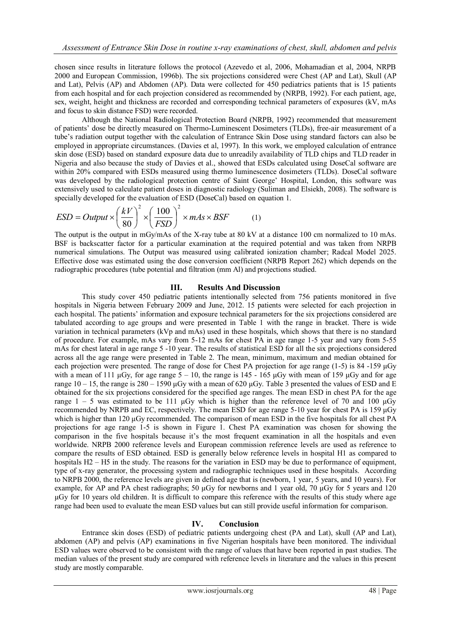chosen since results in literature follows the protocol (Azevedo et al, 2006, Mohamadian et al, 2004, NRPB 2000 and European Commission, 1996b). The six projections considered were Chest (AP and Lat), Skull (AP and Lat), Pelvis (AP) and Abdomen (AP). Data were collected for 450 pediatrics patients that is 15 patients from each hospital and for each projection considered as recommended by (NRPB, 1992). For each patient, age, sex, weight, height and thickness are recorded and corresponding technical parameters of exposures (kV, mAs and focus to skin distance FSD) were recorded.

Although the National Radiological Protection Board (NRPB, 1992) recommended that measurement of patients' dose be directly measured on Thermo-Luminescent Dosimeters (TLDs), free-air measurement of a tube's radiation output together with the calculation of Entrance Skin Dose using standard factors can also be employed in appropriate circumstances. (Davies et al, 1997). In this work, we employed calculation of entrance skin dose (ESD) based on standard exposure data due to unreadily availability of TLD chips and TLD reader in Nigeria and also because the study of Davies et al., showed that ESDs calculated using DoseCal software are within 20% compared with ESDs measured using thermo luminescence dosimeters (TLDs). DoseCal software was developed by the radiological protection centre of Saint George' Hospital, London, this software was extensively used to calculate patient doses in diagnostic radiology (Suliman and Elsiekh, 2008). The software is

Excessively used to calculate patent doses in diagnostic randomly (summan a  
\nspecially developed for the evaluation of ESD (DoseCal) based on equation 1.

\n
$$
ESD = Output \times \left(\frac{kV}{80}\right)^2 \times \left(\frac{100}{FSD}\right)^2 \times mAs \times BSF
$$

\n(1)

The output is the output in mGy/mAs of the X-ray tube at 80 kV at a distance 100 cm normalized to 10 mAs. BSF is backscatter factor for a particular examination at the required potential and was taken from NRPB numerical simulations. The Output was measured using calibrated ionization chamber; Radcal Model 2025. Effective dose was estimated using the dose conversion coefficient (NRPB Report 262) which depends on the radiographic procedures (tube potential and filtration (mm Al) and projections studied.

### **III. Results And Discussion**

This study cover 450 pediatric patients intentionally selected from 756 patients monitored in five hospitals in Nigeria between February 2009 and June, 2012. 15 patients were selected for each projection in each hospital. The patients' information and exposure technical parameters for the six projections considered are tabulated according to age groups and were presented in Table 1 with the range in bracket. There is wide variation in technical parameters (kVp and mAs) used in these hospitals, which shows that there is no standard of procedure. For example, mAs vary from 5-12 mAs for chest PA in age range 1-5 year and vary from 5-55 mAs for chest lateral in age range 5 -10 year. The results of statistical ESD for all the six projections considered across all the age range were presented in Table 2. The mean, minimum, maximum and median obtained for each projection were presented. The range of dose for Chest PA projection for age range (1-5) is 84 -159 μGy with a mean of 111  $\mu$ Gy, for age range  $5 - 10$ , the range is 145 - 165  $\mu$ Gy with mean of 159  $\mu$ Gy and for age range  $10 - 15$ , the range is  $280 - 1590 \mu Gy$  with a mean of 620 μGy. Table 3 presented the values of ESD and E obtained for the six projections considered for the specified age ranges. The mean ESD in chest PA for the age range  $1 - 5$  was estimated to be 111 μGy which is higher than the reference level of 70 and 100 μGy recommended by NRPB and EC, respectively. The mean ESD for age range 5-10 year for chest PA is 159 μGy which is higher than 120 μGy recommended. The comparison of mean ESD in the five hospitals for all chest PA projections for age range 1-5 is shown in Figure 1. Chest PA examination was chosen for showing the comparison in the five hospitals because it's the most frequent examination in all the hospitals and even worldwide. NRPB 2000 reference levels and European commission reference levels are used as reference to compare the results of ESD obtained. ESD is generally below reference levels in hospital H1 as compared to hospitals H2 – H5 in the study. The reasons for the variation in ESD may be due to performance of equipment, type of x-ray generator, the processing system and radiographic techniques used in these hospitals. According to NRPB 2000, the reference levels are given in defined age that is (newborn, 1 year, 5 years, and 10 years). For example, for AP and PA chest radiographs; 50 µGy for newborns and 1 year old, 70 µGy for 5 years and 120 µGy for 10 years old children. It is difficult to compare this reference with the results of this study where age range had been used to evaluate the mean ESD values but can still provide useful information for comparison.

# **IV. Conclusion**

Entrance skin doses (ESD) of pediatric patients undergoing chest (PA and Lat), skull (AP and Lat), abdomen (AP) and pelvis (AP) examinations in five Nigerian hospitals have been monitored. The individual ESD values were observed to be consistent with the range of values that have been reported in past studies. The median values of the present study are compared with reference levels in literature and the values in this present study are mostly comparable.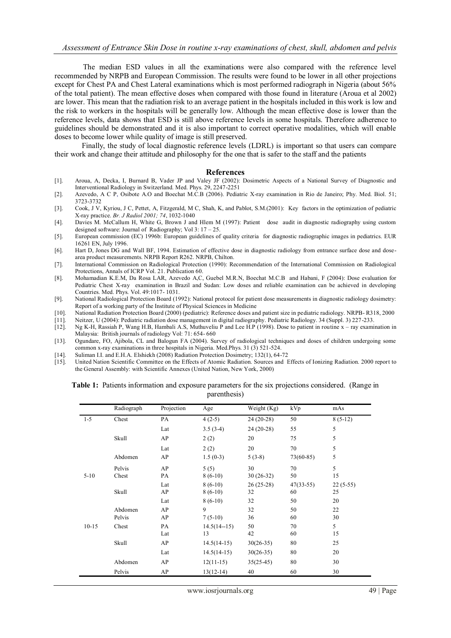The median ESD values in all the examinations were also compared with the reference level recommended by NRPB and European Commission. The results were found to be lower in all other projections except for Chest PA and Chest Lateral examinations which is most performed radiograph in Nigeria (about 56% of the total patient). The mean effective doses when compared with those found in literature (Aroua et al 2002) are lower. This mean that the radiation risk to an average patient in the hospitals included in this work is low and the risk to workers in the hospitals will be generally low. Although the mean effective dose is lower than the reference levels, data shows that ESD is still above reference levels in some hospitals. Therefore adherence to guidelines should be demonstrated and it is also important to correct operative modalities, which will enable doses to become lower while quality of image is still preserved.

Finally, the study of local diagnostic reference levels (LDRL) is important so that users can compare their work and change their attitude and philosophy for the one that is safer to the staff and the patients

#### **References**

- [1]. Aroua, A, Decka, I, Burnard B, Vader JP and Valey JF (2002): Dosimetric Aspects of a National Survey of Diagnostic and Interventional Radiology in Switzerland. Med. Phys. 29, 2247-2251
- [2]. Azevedo, A C P, Osibote A.O and Boechat M.C.B (2006). Pediatric X-ray examination in Rio de Janeiro; Phy. Med. Biol. 51; 3723-3732
- [3]. Cook, J V, Kyriou, J C, Pettet, A, Fitzgerald, M C, Shah, K, and Pablot, S.M.(2001): Key factors in the optimization of pediatric X-ray practice. *Br. J Radiol 2001; 74*, 1032-1040
- [4]. Davies M. McCallum H, White G, Brown J and Hlem M (1997): Patient dose audit in diagnostic radiography using custom designed software: Journal of Radiography; Vol 3: 17 – 25.
- [5]. European commission (EC) 1996b: European guidelines of quality criteria for diagnostic radiographic images in pediatrics. EUR 16261 EN, July 1996.
- [6]. Hart D, Jones DG and Wall BF, 1994. Estimation of effective dose in diagnostic radiology from entrance surface dose and dosearea product measurements. NRPB Report R262. NRPB, Chilton.
- [7]. International Commission on Radiological Protection (1990): Recommendation of the International Commission on Radiological Protections, Annals of ICRP Vol. 21. Publication 60.
- [8]. Mohamadian K.E.M, Da Rosa LAR, Azevedo A,C, Guebel M.R.N, Boechat M.C.B and Habani, F (2004): Dose evaluation for Pediatric Chest X-ray examination in Brazil and Sudan: Low doses and reliable examination can be achieved in developing Countries. Med. Phys. Vol. 49:1017- 1031.
- [9]. National Radiological Protection Board (1992): National protocol for patient dose measurements in diagnostic radiology dosimetry: Report of a working party of the Institute of Physical Sciences in Medicine
- [10]. National Radiation Protection Board (2000) (pediatric): Reference doses and patient size in pediatric radiology. NRPB- R318, 2000
- [11]. Neitzer, U (2004): Pediatric radiation dose management in digital radiography. Pediatric Radiology. 34 (Suppl. 3) 227-233.
- [12]. Ng K-H, Rassiah P, Wang H.B, Hambali A.S, Muthuveliu P and Lee H.P (1998). Dose to patient in routine x ray examination in Malaysia: British journals of radiology Vol: 71: 654- 660
- [13]. Ogundare, FO, Ajibola, CL and Balogun FA (2004). Survey of radiological techniques and doses of children undergoing some common x-ray examinations in three hospitals in Nigeria. Med.Phys. 31 (3) 521-524.
- [14]. Suliman I.I. and E.H.A. Elshiekh (2008) Radiation Protection Dosimetry; 132(1), 64-72
- [15]. United Nation Scientific Committee on the Effects of Atomic Radiation. Sources and Effects of Ionizing Radiation. 2000 report to the General Assembly: with Scientific Annexes (United Nation, New York, 2000)

| <b>Table 1:</b> Patients information and exposure parameters for the six projections considered. (Range in |              |  |  |
|------------------------------------------------------------------------------------------------------------|--------------|--|--|
|                                                                                                            | parenthesis) |  |  |

|           | Radiograph   | Projection | Age             | Weight (Kg) | kVp         | mAs        |
|-----------|--------------|------------|-----------------|-------------|-------------|------------|
| $1 - 5$   | Chest        | PA         | $4(2-5)$        | $24(20-28)$ | 50          | $8(5-12)$  |
|           |              | Lat        | $3.5(3-4)$      | $24(20-28)$ | 55          | 5          |
|           | Skull        | AP         | 2(2)            | 20          | 75          | 5          |
|           |              | Lat        | 2(2)            | 20          | 70          | 5          |
|           | Abdomen      | AP         | $1.5(0-3)$      | $5(3-8)$    | $73(60-85)$ | 5          |
|           | Pelvis       | AP         | 5(5)            | 30          | 70          | 5          |
| $5-10$    | Chest        | PA         | $8(6-10)$       | $30(26-32)$ | 50          | 15         |
|           |              | Lat        | $8(6-10)$       | $26(25-28)$ | $47(33-55)$ | $22(5-55)$ |
|           | <b>Skull</b> | AP         | $8(6-10)$       | 32          | 60          | 25         |
|           |              | Lat        | $8(6-10)$       | 32          | 50          | 20         |
|           | Abdomen      | AP         | 9               | 32          | 50          | 22         |
|           | Pelvis       | AP         | $7(5-10)$       | 36          | 60          | 30         |
| $10 - 15$ | Chest        | PA         | $14.5(14 - 15)$ | 50          | 70          | 5          |
|           |              | Lat        | 13              | 42          | 60          | 15         |
|           | Skull        | AP         | $14.5(14-15)$   | $30(26-35)$ | 80          | 25         |
|           |              | Lat        | $14.5(14-15)$   | $30(26-35)$ | 80          | 20         |
|           | Abdomen      | AP         | $12(11-15)$     | $35(25-45)$ | 80          | 30         |
|           | Pelvis       | AP         | $13(12-14)$     | 40          | 60          | 30         |